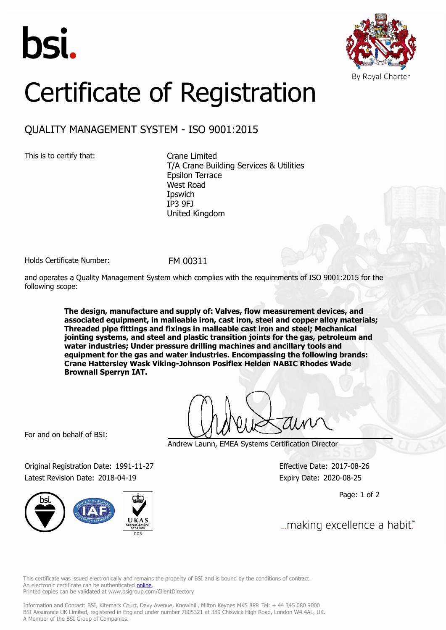



## Certificate of Registration

## QUALITY MANAGEMENT SYSTEM - ISO 9001:2015

This is to certify that: Crane Limited

T/A Crane Building Services & Utilities Epsilon Terrace West Road **I**pswich IP3 9FJ United Kingdom

Holds Certificate Number: FM 00311

and operates a Quality Management System which complies with the requirements of ISO 9001:2015 for the following scope:

> **The design, manufacture and supply of: Valves, flow measurement devices, and associated equipment, in malleable iron, cast iron, steel and copper alloy materials; Threaded pipe fittings and fixings in malleable cast iron and steel; Mechanical jointing systems, and steel and plastic transition joints for the gas, petroleum and water industries; Under pressure drilling machines and ancillary tools and equipment for the gas and water industries. Encompassing the following brands: Crane Hattersley Wask Viking-Johnson Posiflex Helden NABIC Rhodes Wade Brownall Sperryn IAT.**

For and on behalf of BSI:

Andrew Launn, EMEA Systems Certification Director

Original Registration Date: 1991-11-27 Effective Date: 2017-08-26 Latest Revision Date: 2018-04-19 Expiry Date: 2020-08-25

Page: 1 of 2

... making excellence a habit."

This certificate was issued electronically and remains the property of BSI and is bound by the conditions of contract. An electronic certificate can be authenticated **[online](https://pgplus.bsigroup.com/CertificateValidation/CertificateValidator.aspx?CertificateNumber=FM+00311&ReIssueDate=19%2f04%2f2018&Template=uk)**. Printed copies can be validated at www.bsigroup.com/ClientDirectory

Information and Contact: BSI, Kitemark Court, Davy Avenue, Knowlhill, Milton Keynes MK5 8PP. Tel: + 44 345 080 9000 BSI Assurance UK Limited, registered in England under number 7805321 at 389 Chiswick High Road, London W4 4AL, UK. A Member of the BSI Group of Companies.